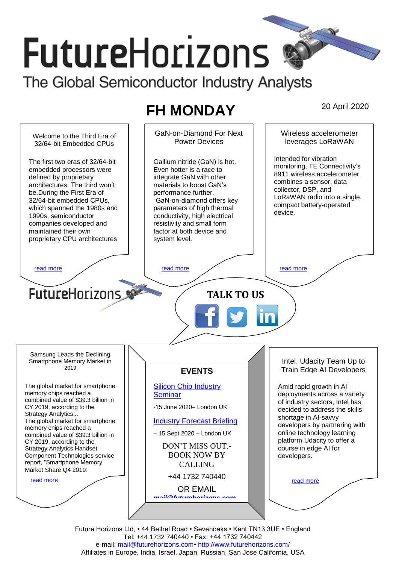# **FutureHorizons** The Global Semiconductor Industry Analysts

# **FH MONDAY** 20 April 2020



Future Horizons Ltd, • 44 Bethel Road • Sevenoaks • Kent TN13 3UE • England Tel: +44 1732 740440 • Fax: +44 1732 740442 e-mail: mail@futurehorizons.com• http://www.futurehorizons.com/ Affiliates in Europe, India, Israel, Japan, Russian, San Jose California, USA